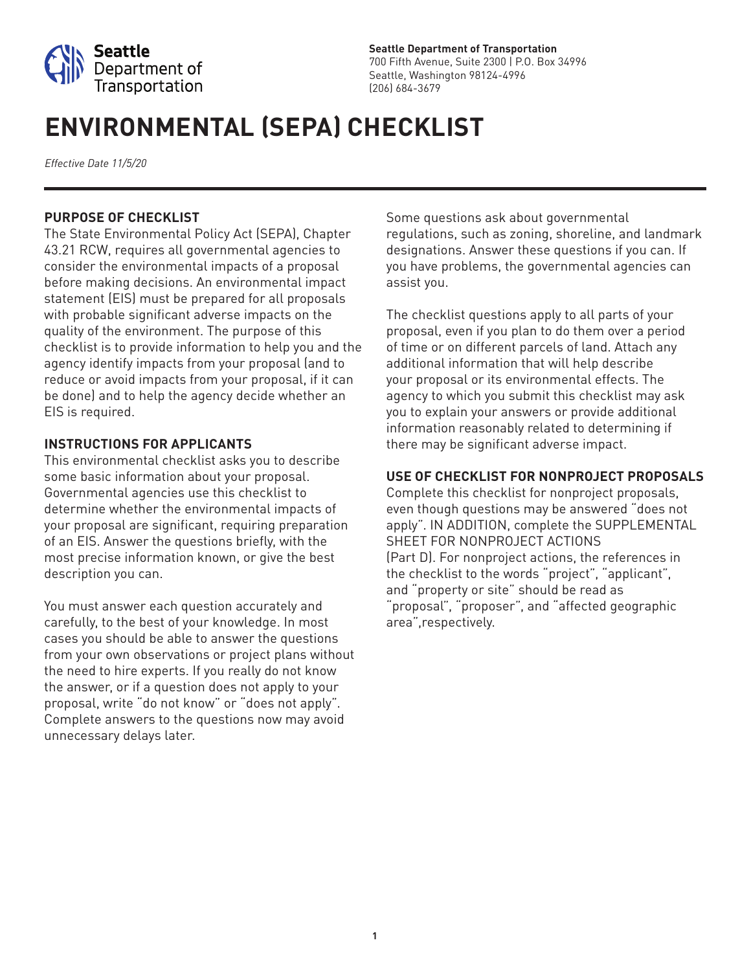

**Seattle Department of Transportation** 700 Fifth Avenue, Suite 2300 | P.O. Box 34996 Seattle, Washington 98124-4996 (206) 684-3679

# **ENVIRONMENTAL (SEPA) CHECKLIST**

*Effective Date 11/5/20*

#### **PURPOSE OF CHECKLIST**

The State Environmental Policy Act (SEPA), Chapter 43.21 RCW, requires all governmental agencies to consider the environmental impacts of a proposal before making decisions. An environmental impact statement (EIS) must be prepared for all proposals with probable significant adverse impacts on the quality of the environment. The purpose of this checklist is to provide information to help you and the agency identify impacts from your proposal (and to reduce or avoid impacts from your proposal, if it can be done) and to help the agency decide whether an EIS is required.

#### **INSTRUCTIONS FOR APPLICANTS**

This environmental checklist asks you to describe some basic information about your proposal. Governmental agencies use this checklist to determine whether the environmental impacts of your proposal are significant, requiring preparation of an EIS. Answer the questions briefly, with the most precise information known, or give the best description you can.

You must answer each question accurately and carefully, to the best of your knowledge. In most cases you should be able to answer the questions from your own observations or project plans without the need to hire experts. If you really do not know the answer, or if a question does not apply to your proposal, write "do not know" or "does not apply". Complete answers to the questions now may avoid unnecessary delays later.

Some questions ask about governmental regulations, such as zoning, shoreline, and landmark designations. Answer these questions if you can. If you have problems, the governmental agencies can assist you.

The checklist questions apply to all parts of your proposal, even if you plan to do them over a period of time or on different parcels of land. Attach any additional information that will help describe your proposal or its environmental effects. The agency to which you submit this checklist may ask you to explain your answers or provide additional information reasonably related to determining if there may be significant adverse impact.

#### **USE OF CHECKLIST FOR NONPROJECT PROPOSALS**

Complete this checklist for nonproject proposals, even though questions may be answered "does not apply". IN ADDITION, complete the SUPPLEMENTAL SHEET FOR NONPROJECT ACTIONS (Part D). For nonproject actions, the references in the checklist to the words "project", "applicant", and "property or site" should be read as "proposal", "proposer", and "affected geographic area",respectively.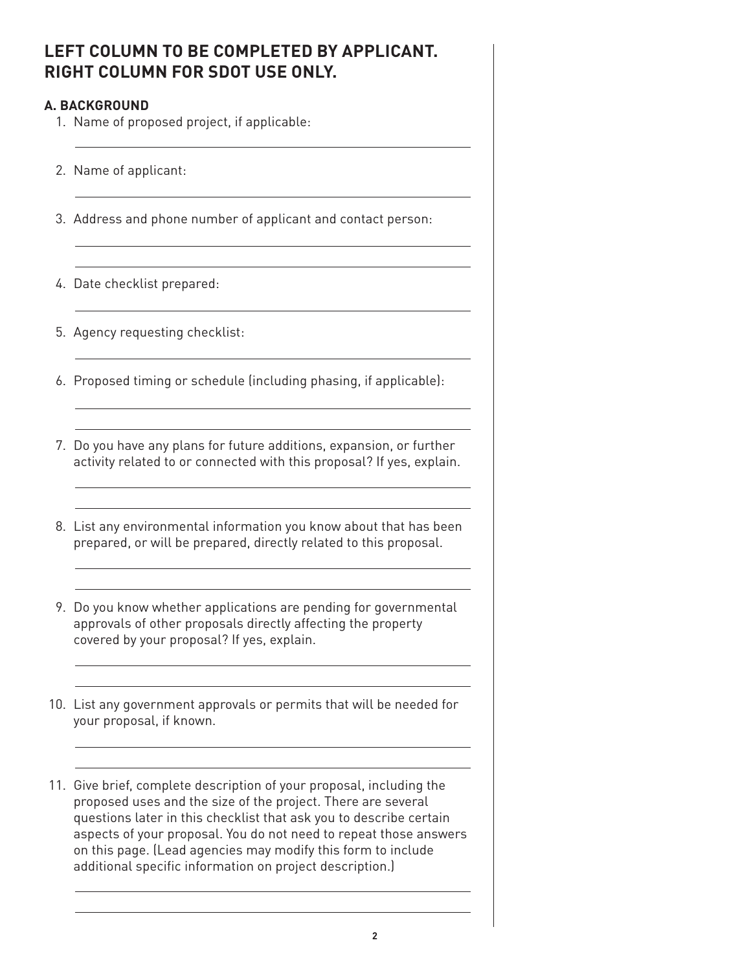# **LEFT COLUMN TO BE COMPLETED BY APPLICANT. RIGHT COLUMN FOR SDOT USE ONLY.**

# **A. BACKGROUND**

- 1. Name of proposed project, if applicable:
- 2. Name of applicant:
- 3. Address and phone number of applicant and contact person:
- 4. Date checklist prepared:
- 5. Agency requesting checklist:
- 6. Proposed timing or schedule (including phasing, if applicable):
- 7. Do you have any plans for future additions, expansion, or further activity related to or connected with this proposal? If yes, explain.
- 8. List any environmental information you know about that has been prepared, or will be prepared, directly related to this proposal.
- 9. Do you know whether applications are pending for governmental approvals of other proposals directly affecting the property covered by your proposal? If yes, explain.
- 10. List any government approvals or permits that will be needed for your proposal, if known.
- 11. Give brief, complete description of your proposal, including the proposed uses and the size of the project. There are several questions later in this checklist that ask you to describe certain aspects of your proposal. You do not need to repeat those answers on this page. (Lead agencies may modify this form to include additional specific information on project description.)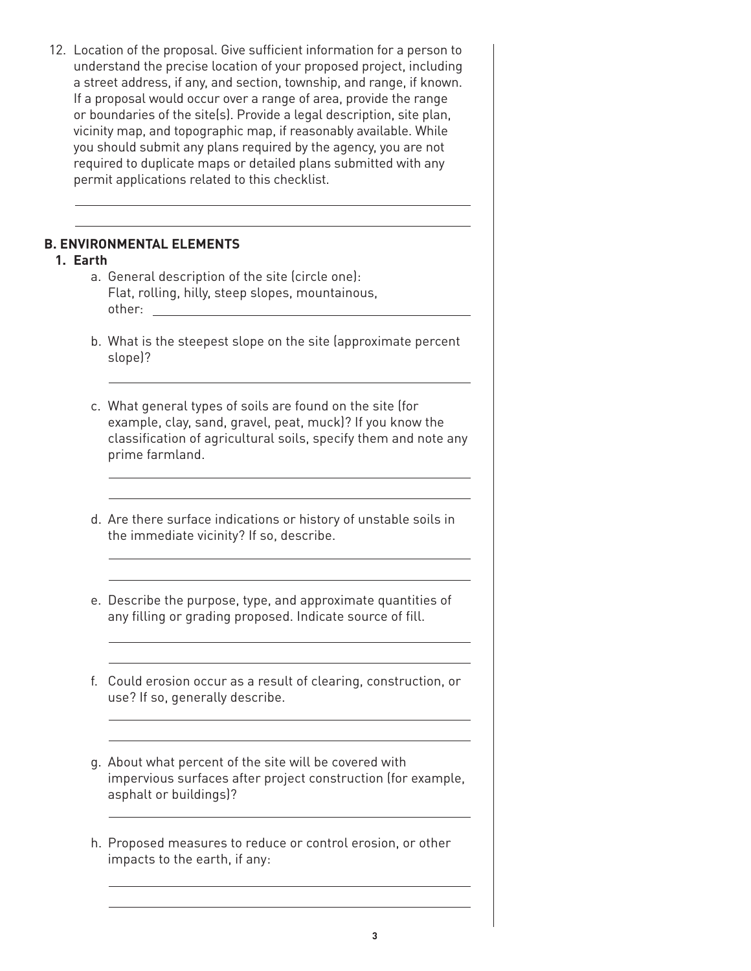12. Location of the proposal. Give sufficient information for a person to understand the precise location of your proposed project, including a street address, if any, and section, township, and range, if known. If a proposal would occur over a range of area, provide the range or boundaries of the site(s). Provide a legal description, site plan, vicinity map, and topographic map, if reasonably available. While you should submit any plans required by the agency, you are not required to duplicate maps or detailed plans submitted with any permit applications related to this checklist.

# **B. ENVIRONMENTAL ELEMENTS**

# **1. Earth**

- a. General description of the site (circle one): Flat, rolling, hilly, steep slopes, mountainous, other: when the contract of the contract of the contract of the contract of the contract of the contract of the contract of the contract of the contract of the contract of the contract of the contract of the contract of th
- b. What is the steepest slope on the site (approximate percent slope)?
- c. What general types of soils are found on the site (for example, clay, sand, gravel, peat, muck)? If you know the classification of agricultural soils, specify them and note any prime farmland.
- d. Are there surface indications or history of unstable soils in the immediate vicinity? If so, describe.
- e. Describe the purpose, type, and approximate quantities of any filling or grading proposed. Indicate source of fill.
- f. Could erosion occur as a result of clearing, construction, or use? If so, generally describe.
- g. About what percent of the site will be covered with impervious surfaces after project construction (for example, asphalt or buildings)?
- h. Proposed measures to reduce or control erosion, or other impacts to the earth, if any: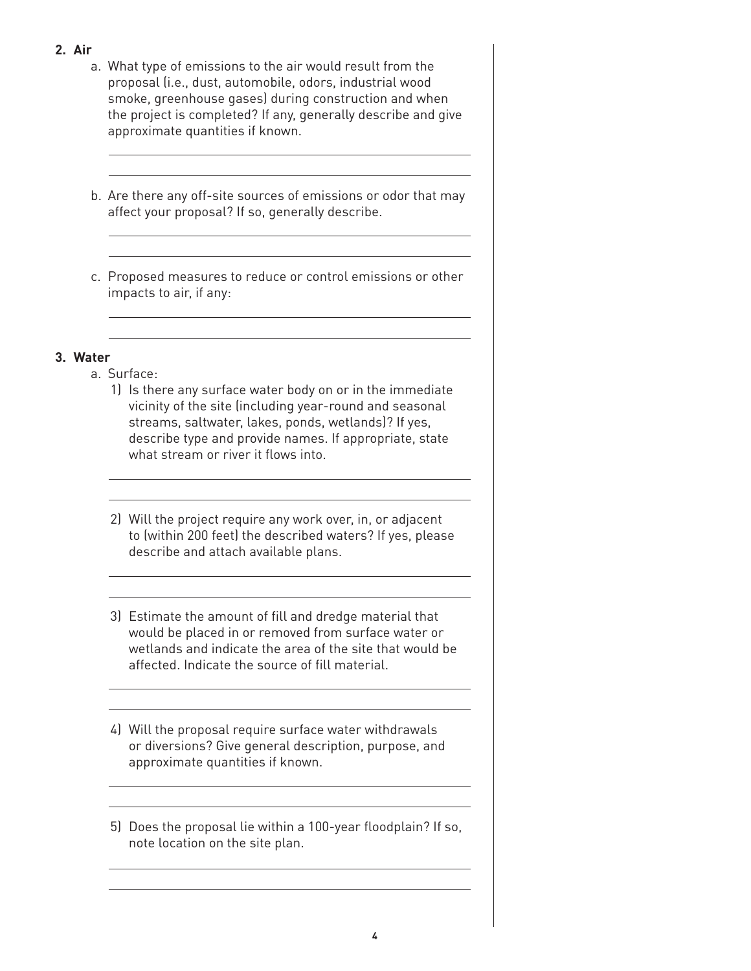#### **2. Air**

- a. What type of emissions to the air would result from the proposal (i.e., dust, automobile, odors, industrial wood smoke, greenhouse gases) during construction and when the project is completed? If any, generally describe and give approximate quantities if known.
- b. Are there any off-site sources of emissions or odor that may affect your proposal? If so, generally describe.
- c. Proposed measures to reduce or control emissions or other impacts to air, if any:

# **3. Water**

- a. Surface:
	- 1) Is there any surface water body on or in the immediate vicinity of the site (including year-round and seasonal streams, saltwater, lakes, ponds, wetlands)? If yes, describe type and provide names. If appropriate, state what stream or river it flows into.
	- 2) Will the project require any work over, in, or adjacent to (within 200 feet) the described waters? If yes, please describe and attach available plans.
	- 3) Estimate the amount of fill and dredge material that would be placed in or removed from surface water or wetlands and indicate the area of the site that would be affected. Indicate the source of fill material.
	- 4) Will the proposal require surface water withdrawals or diversions? Give general description, purpose, and approximate quantities if known.
	- 5) Does the proposal lie within a 100-year floodplain? If so, note location on the site plan.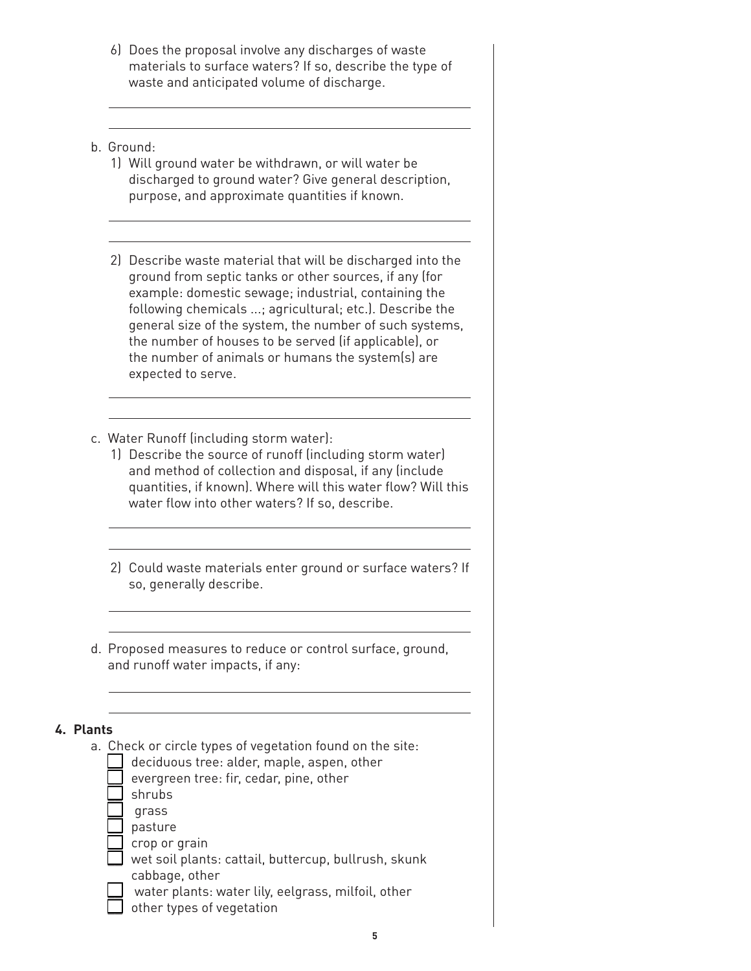- 6) Does the proposal involve any discharges of waste materials to surface waters? If so, describe the type of waste and anticipated volume of discharge.
- b. Ground:
	- 1) Will ground water be withdrawn, or will water be discharged to ground water? Give general description, purpose, and approximate quantities if known.
	- 2) Describe waste material that will be discharged into the ground from septic tanks or other sources, if any (for example: domestic sewage; industrial, containing the following chemicals ...; agricultural; etc.). Describe the general size of the system, the number of such systems, the number of houses to be served (if applicable), or the number of animals or humans the system(s) are expected to serve.
- c. Water Runoff (including storm water):
	- 1) Describe the source of runoff (including storm water) and method of collection and disposal, if any (include quantities, if known). Where will this water flow? Will this water flow into other waters? If so, describe.
	- 2) Could waste materials enter ground or surface waters? If so, generally describe.
- d. Proposed measures to reduce or control surface, ground, and runoff water impacts, if any:

# **4. Plants**

- a. Check or circle types of vegetation found on the site:
	- $\Box$  deciduous tree: alder, maple, aspen, other evergreen tree: fir, cedar, pine, other  $\Box$  shrubs \_\_ grass \_\_ pasture crop or grain \_\_ wet soil plants: cattail, buttercup, bullrush, skunk cabbage, other water plants: water lily, eelgrass, milfoil, other \_\_ other types of vegetation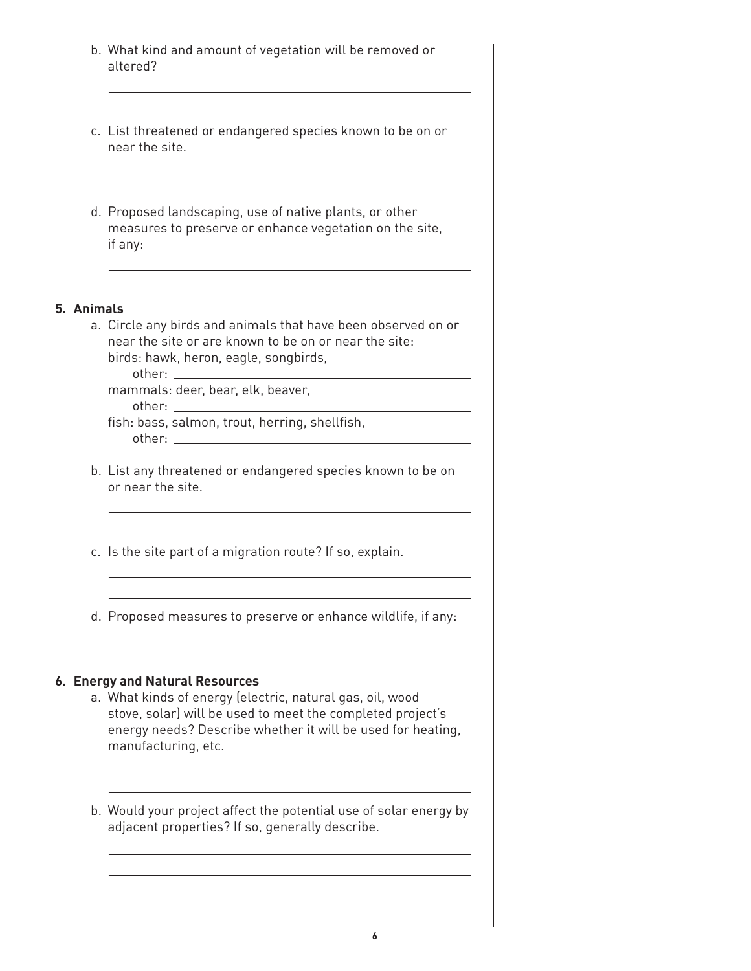- b. What kind and amount of vegetation will be removed or altered?
- c. List threatened or endangered species known to be on or near the site.
- d. Proposed landscaping, use of native plants, or other measures to preserve or enhance vegetation on the site, if any:

#### **5. Animals**

a. Circle any birds and animals that have been observed on or near the site or are known to be on or near the site: birds: hawk, heron, eagle, songbirds,

other:

mammals: deer, bear, elk, beaver,

other:

fish: bass, salmon, trout, herring, shellfish, other:

- b. List any threatened or endangered species known to be on or near the site.
- c. Is the site part of a migration route? If so, explain.
- d. Proposed measures to preserve or enhance wildlife, if any:

#### **6. Energy and Natural Resources**

- a. What kinds of energy (electric, natural gas, oil, wood stove, solar) will be used to meet the completed project's energy needs? Describe whether it will be used for heating, manufacturing, etc.
- b. Would your project affect the potential use of solar energy by adjacent properties? If so, generally describe.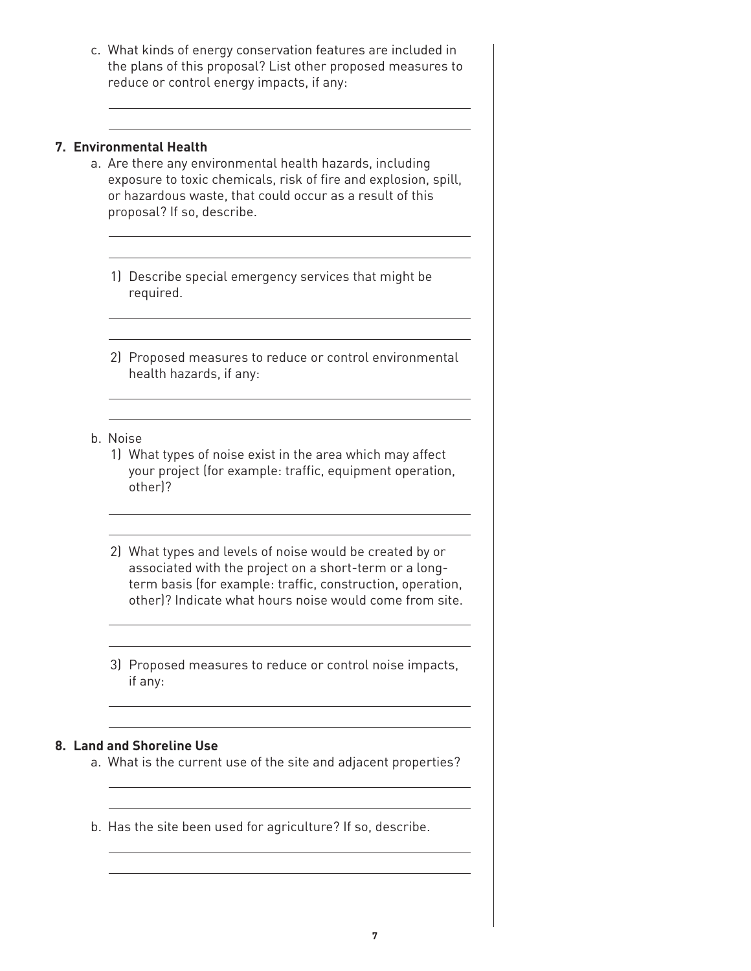c. What kinds of energy conservation features are included in the plans of this proposal? List other proposed measures to reduce or control energy impacts, if any:

#### **7. Environmental Health**

- a. Are there any environmental health hazards, including exposure to toxic chemicals, risk of fire and explosion, spill, or hazardous waste, that could occur as a result of this proposal? If so, describe.
	- 1) Describe special emergency services that might be required.
	- 2) Proposed measures to reduce or control environmental health hazards, if any:
- b. Noise
	- 1) What types of noise exist in the area which may affect your project (for example: traffic, equipment operation, other)?
	- 2) What types and levels of noise would be created by or associated with the project on a short-term or a longterm basis (for example: traffic, construction, operation, other)? Indicate what hours noise would come from site.
	- 3) Proposed measures to reduce or control noise impacts, if any:

# **8. Land and Shoreline Use**

- a. What is the current use of the site and adjacent properties?
- b. Has the site been used for agriculture? If so, describe.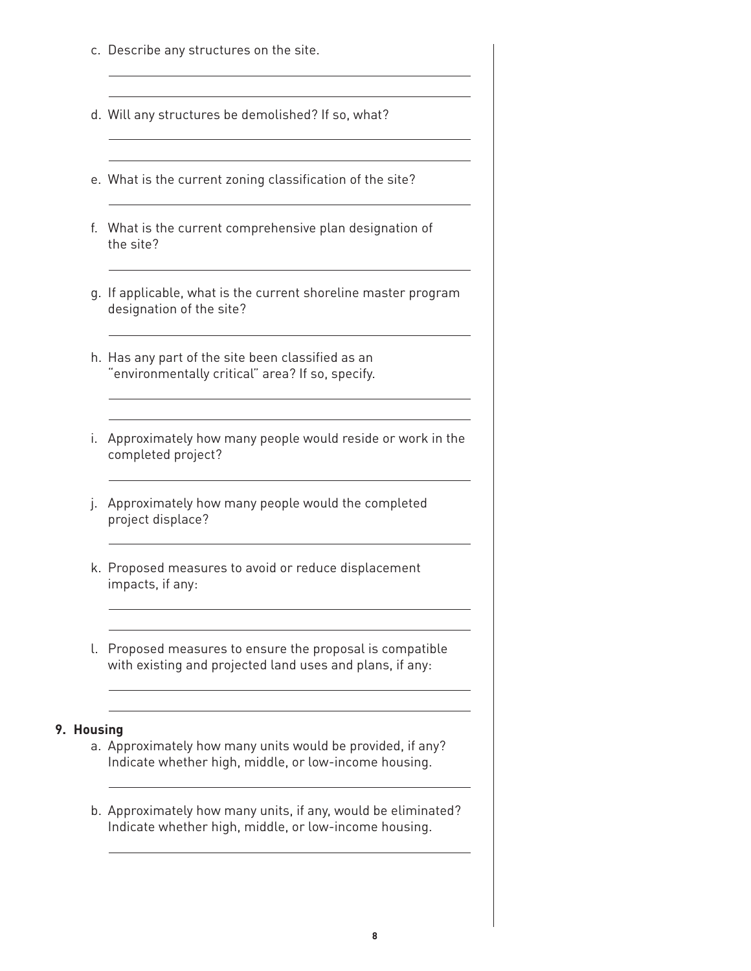- c. Describe any structures on the site.
- d. Will any structures be demolished? If so, what?
- e. What is the current zoning classification of the site?
- f. What is the current comprehensive plan designation of the site?
- g. If applicable, what is the current shoreline master program designation of the site?
- h. Has any part of the site been classified as an "environmentally critical" area? If so, specify.
- i. Approximately how many people would reside or work in the completed project?
- j. Approximately how many people would the completed project displace?
- k. Proposed measures to avoid or reduce displacement impacts, if any:
- l. Proposed measures to ensure the proposal is compatible with existing and projected land uses and plans, if any:

#### **9. Housing**

- a. Approximately how many units would be provided, if any? Indicate whether high, middle, or low-income housing.
- b. Approximately how many units, if any, would be eliminated? Indicate whether high, middle, or low-income housing.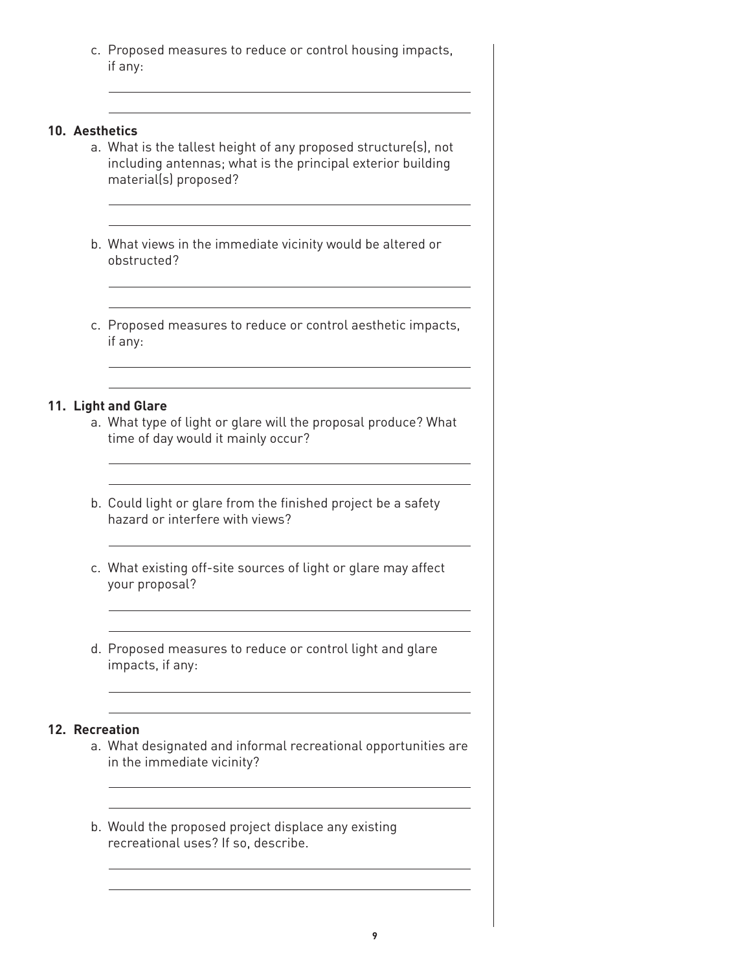c. Proposed measures to reduce or control housing impacts, if any:

#### **10. Aesthetics**

- a. What is the tallest height of any proposed structure(s), not including antennas; what is the principal exterior building material(s) proposed?
- b. What views in the immediate vicinity would be altered or obstructed?
- c. Proposed measures to reduce or control aesthetic impacts, if any:

<u> 1989 - Johann Barn, amerikansk politiker (d. 1989)</u>

# **11. Light and Glare**

- a. What type of light or glare will the proposal produce? What time of day would it mainly occur?
- b. Could light or glare from the finished project be a safety hazard or interfere with views?
- c. What existing off-site sources of light or glare may affect your proposal?
- d. Proposed measures to reduce or control light and glare impacts, if any:

<u> 1989 - Johann Barbara, martxa alemaniar a</u>

# **12. Recreation**

- a. What designated and informal recreational opportunities are in the immediate vicinity?
- b. Would the proposed project displace any existing recreational uses? If so, describe.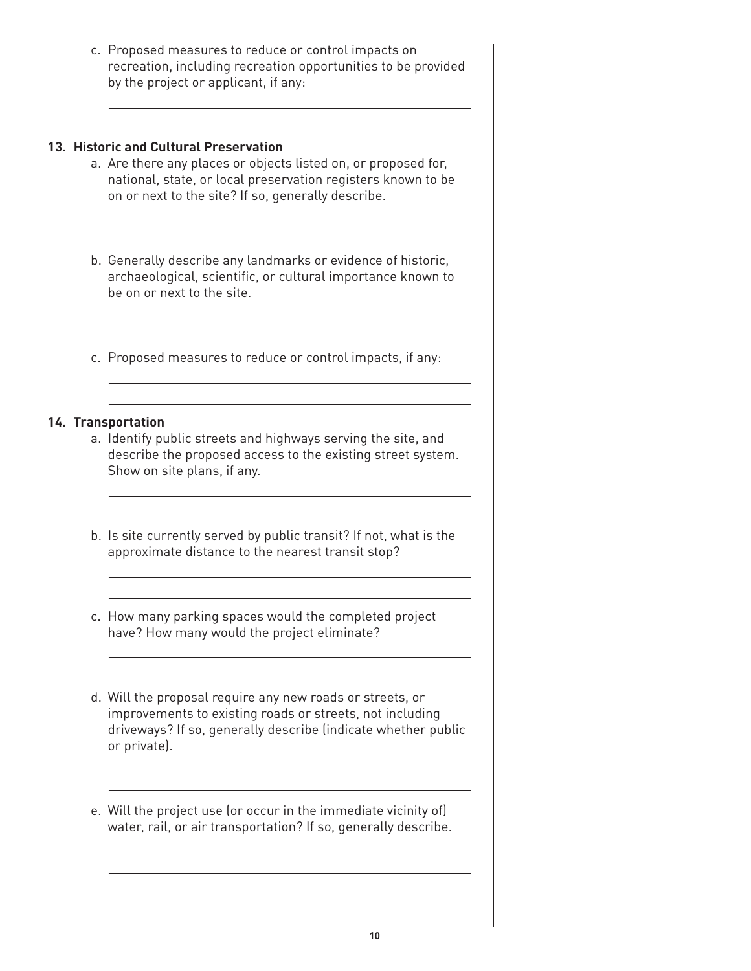c. Proposed measures to reduce or control impacts on recreation, including recreation opportunities to be provided by the project or applicant, if any:

#### **13. Historic and Cultural Preservation**

- a. Are there any places or objects listed on, or proposed for, national, state, or local preservation registers known to be on or next to the site? If so, generally describe.
- b. Generally describe any landmarks or evidence of historic, archaeological, scientific, or cultural importance known to be on or next to the site.
- c. Proposed measures to reduce or control impacts, if any:

#### **14. Transportation**

- a. Identify public streets and highways serving the site, and describe the proposed access to the existing street system. Show on site plans, if any.
- b. Is site currently served by public transit? If not, what is the approximate distance to the nearest transit stop?
- c. How many parking spaces would the completed project have? How many would the project eliminate?
- d. Will the proposal require any new roads or streets, or improvements to existing roads or streets, not including driveways? If so, generally describe (indicate whether public or private).
- e. Will the project use (or occur in the immediate vicinity of) water, rail, or air transportation? If so, generally describe.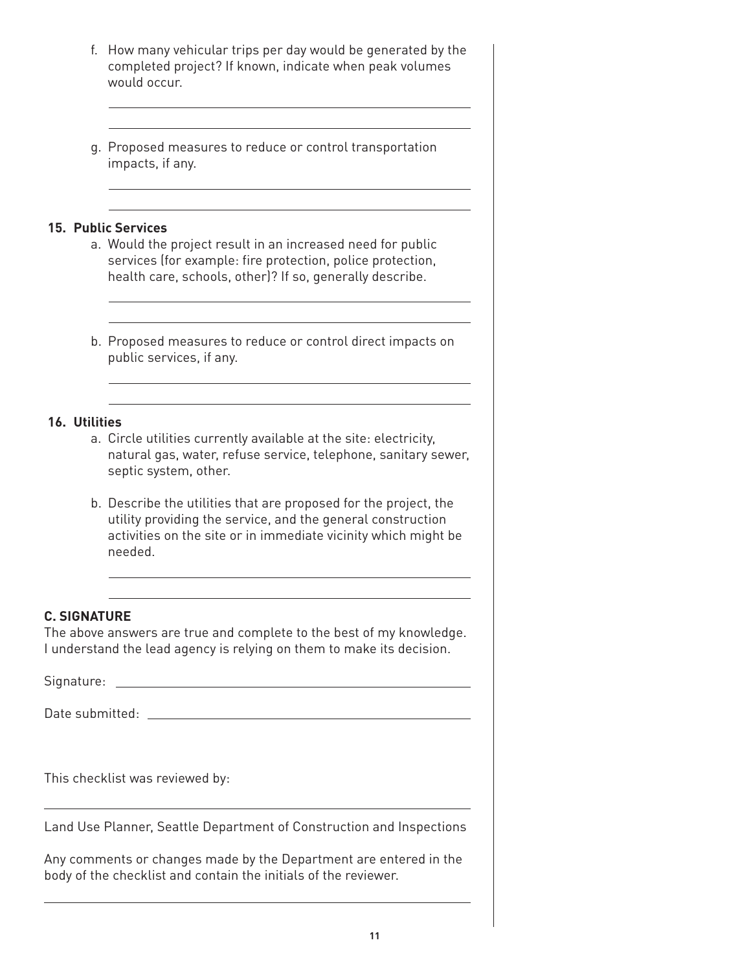- f. How many vehicular trips per day would be generated by the completed project? If known, indicate when peak volumes would occur.
- g. Proposed measures to reduce or control transportation impacts, if any.

#### **15. Public Services**

- a. Would the project result in an increased need for public services (for example: fire protection, police protection, health care, schools, other)? If so, generally describe.
- b. Proposed measures to reduce or control direct impacts on public services, if any.

# **16. Utilities**

- a. Circle utilities currently available at the site: electricity, natural gas, water, refuse service, telephone, sanitary sewer, septic system, other.
- b. Describe the utilities that are proposed for the project, the utility providing the service, and the general construction activities on the site or in immediate vicinity which might be needed.

# **C. SIGNATURE**

The above answers are true and complete to the best of my knowledge. I understand the lead agency is relying on them to make its decision.

Signature:

Date submitted:

This checklist was reviewed by:

Land Use Planner, Seattle Department of Construction and Inspections

Any comments or changes made by the Department are entered in the body of the checklist and contain the initials of the reviewer.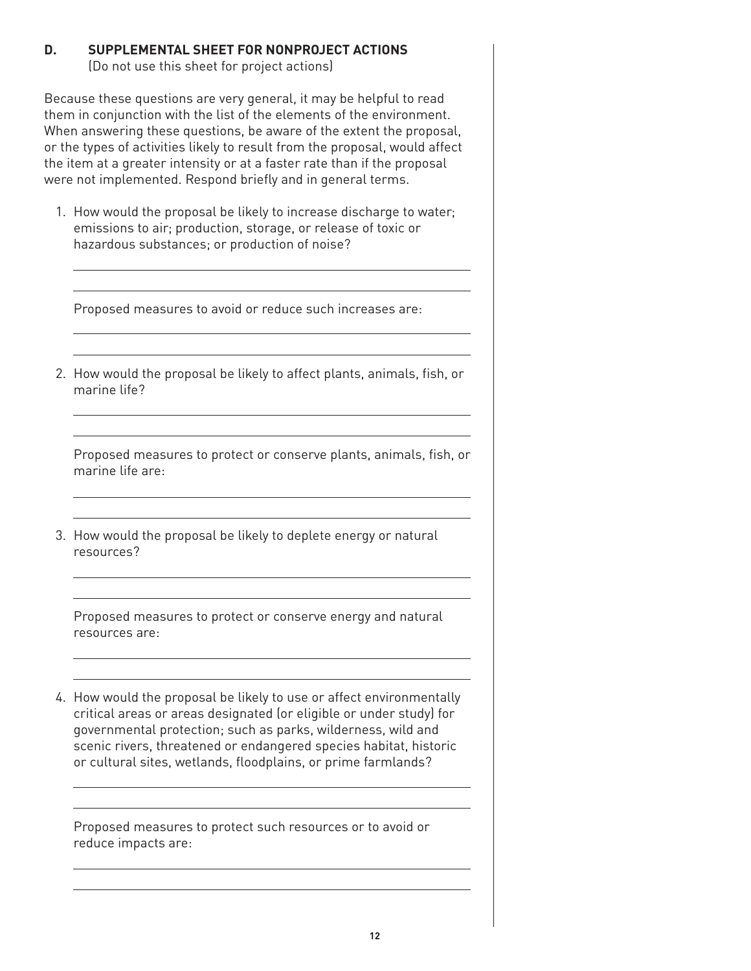# **D. SUPPLEMENTAL SHEET FOR NONPROJECT ACTIONS**

(Do not use this sheet for project actions)

Because these questions are very general, it may be helpful to read them in conjunction with the list of the elements of the environment. When answering these questions, be aware of the extent the proposal, or the types of activities likely to result from the proposal, would affect the item at a greater intensity or at a faster rate than if the proposal were not implemented. Respond briefly and in general terms.

1. How would the proposal be likely to increase discharge to water; emissions to air; production, storage, or release of toxic or hazardous substances; or production of noise?

Proposed measures to avoid or reduce such increases are:

2. How would the proposal be likely to affect plants, animals, fish, or marine life?

 Proposed measures to protect or conserve plants, animals, fish, or marine life are:

3. How would the proposal be likely to deplete energy or natural resources?

 Proposed measures to protect or conserve energy and natural resources are:

4. How would the proposal be likely to use or affect environmentally critical areas or areas designated (or eligible or under study) for governmental protection; such as parks, wilderness, wild and scenic rivers, threatened or endangered species habitat, historic or cultural sites, wetlands, floodplains, or prime farmlands?

 Proposed measures to protect such resources or to avoid or reduce impacts are: